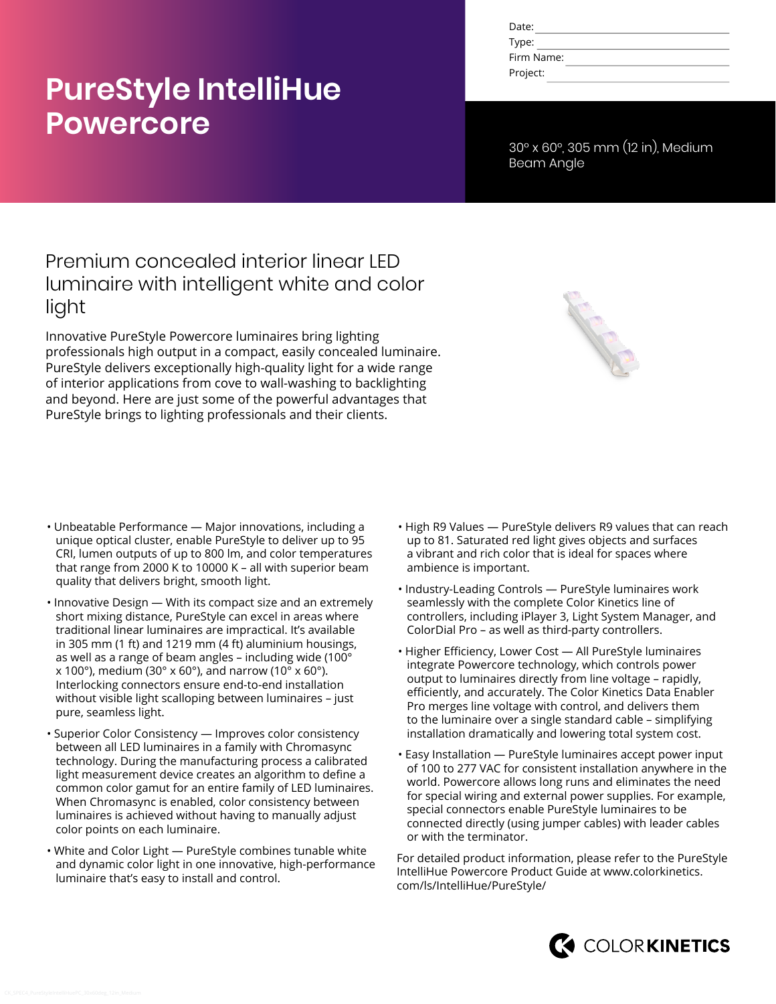# **PureStyle IntelliHue Powercore**

| Date:      |  |
|------------|--|
| Type:      |  |
| Firm Name: |  |
| Project:   |  |

30° x 60°, 305 mm (12 in), Medium Beam Angle

### Premium concealed interior linear LED luminaire with intelligent white and color light

Innovative PureStyle Powercore luminaires bring lighting professionals high output in a compact, easily concealed luminaire. PureStyle delivers exceptionally high-quality light for a wide range of interior applications from cove to wall-washing to backlighting and beyond. Here are just some of the powerful advantages that PureStyle brings to lighting professionals and their clients.

- Unbeatable Performance Major innovations, including a unique optical cluster, enable PureStyle to deliver up to 95 CRI, lumen outputs of up to 800 lm, and color temperatures that range from 2000 K to 10000 K – all with superior beam quality that delivers bright, smooth light.
- Innovative Design With its compact size and an extremely short mixing distance, PureStyle can excel in areas where traditional linear luminaires are impractical. It's available in 305 mm (1 ft) and 1219 mm (4 ft) aluminium housings, as well as a range of beam angles - including wide (100 $^{\circ}$  $x$  100°), medium (30° x 60°), and narrow (10° x 60°). Interlocking connectors ensure end-to-end installation without visible light scalloping between luminaires – just pure, seamless light.
- Superior Color Consistency Improves color consistency between all LED luminaires in a family with Chromasync technology. During the manufacturing process a calibrated light measurement device creates an algorithm to define a common color gamut for an entire family of LED luminaires. When Chromasync is enabled, color consistency between luminaires is achieved without having to manually adjust color points on each luminaire.
- White and Color Light PureStyle combines tunable white and dynamic color light in one innovative, high-performance luminaire that's easy to install and control.
- High R9 Values PureStyle delivers R9 values that can reach up to 81. Saturated red light gives objects and surfaces a vibrant and rich color that is ideal for spaces where ambience is important.
- Industry-Leading Controls PureStyle luminaires work seamlessly with the complete Color Kinetics line of controllers, including iPlayer 3, Light System Manager, and ColorDial Pro – as well as third-party controllers.
- Higher Efficiency, Lower Cost All PureStyle luminaires integrate Powercore technology, which controls power output to luminaires directly from line voltage – rapidly, efficiently, and accurately. The Color Kinetics Data Enabler Pro merges line voltage with control, and delivers them to the luminaire over a single standard cable – simplifying installation dramatically and lowering total system cost.
- Easy Installation PureStyle luminaires accept power input of 100 to 277 VAC for consistent installation anywhere in the world. Powercore allows long runs and eliminates the need for special wiring and external power supplies. For example, special connectors enable PureStyle luminaires to be connected directly (using jumper cables) with leader cables or with the terminator.

For detailed product information, please refer to the PureStyle IntelliHue Powercore Product Guide at [www.colorkinetics.](http://www.colorkinetics.com/ls/IntelliHue/PureStyle/) [com/ls/IntelliHue/PureStyle/](http://www.colorkinetics.com/ls/IntelliHue/PureStyle/)

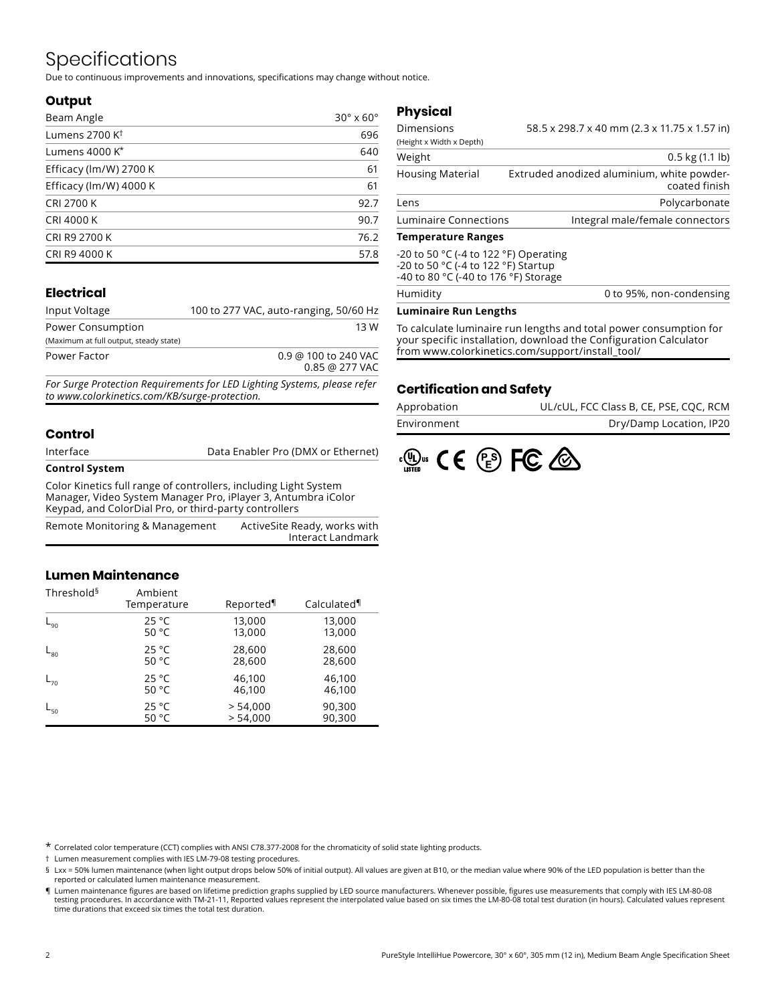## Specifications

Due to continuous improvements and innovations, specifications may change without notice.

#### **Output**

| Beam Angle                 | $30^\circ \times 60^\circ$ |
|----------------------------|----------------------------|
| Lumens 2700 K <sup>t</sup> | 696                        |
| Lumens 4000 K*             | 640                        |
| Efficacy (lm/W) 2700 K     | 61                         |
| Efficacy (lm/W) 4000 K     | 61                         |
| <b>CRI 2700 K</b>          | 92.7                       |
| <b>CRI 4000 K</b>          | 90.7                       |
| CRI R9 2700 K              | 76.2                       |
| CRI R9 4000 K              | 57.8                       |

#### **Electrical**

| Input Voltage                          | 100 to 277 VAC, auto-ranging, 50/60 Hz   |
|----------------------------------------|------------------------------------------|
| Power Consumption                      | 13 W                                     |
| (Maximum at full output, steady state) |                                          |
| Power Factor                           | 0.9 @ 100 to 240 VAC<br>$0.85$ @ 277 VAC |
|                                        |                                          |

*For Surge Protection Requirements for LED Lighting Systems, please refer to www.colorkinetics.com/KB/surge-protection.*

#### **Control**

| <b>Control System</b> |                                    |
|-----------------------|------------------------------------|
| Interface             | Data Enabler Pro (DMX or Ethernet) |

Color Kinetics full range of controllers, including Light System Manager, Video System Manager Pro, iPlayer 3, Antumbra iColor Keypad, and ColorDial Pro, or third-party controllers

| Remote Monitoring & Management | ActiveSite Ready, works with |
|--------------------------------|------------------------------|
|                                | Interact Landmark            |

#### **Lumen Maintenance**

| Threshold <sup>§</sup> | Ambient<br>Temperature | Reported | Calculated |
|------------------------|------------------------|----------|------------|
| $L_{90}$               | 25 °C                  | 13,000   | 13,000     |
|                        | 50 $^{\circ}$ C        | 13,000   | 13,000     |
| $L_{80}$               | 25 °C                  | 28,600   | 28,600     |
|                        | 50 $^{\circ}$ C        | 28,600   | 28,600     |
| $L_{70}$               | 25 °C                  | 46,100   | 46,100     |
|                        | 50 $^{\circ}$ C        | 46,100   | 46,100     |
| $L_{50}$               | 25 °C                  | > 54,000 | 90,300     |
|                        | 50 °C                  | > 54.000 | 90,300     |

### **Physical**

| Dimensions                | 58.5 x 298.7 x 40 mm (2.3 x 11.75 x 1.57 in)                |
|---------------------------|-------------------------------------------------------------|
| (Height x Width x Depth)  |                                                             |
| Weight                    | $0.5$ kg $(1.1$ lb)                                         |
| <b>Housing Material</b>   | Extruded anodized aluminium, white powder-<br>coated finish |
| Lens                      | Polycarbonate                                               |
| Luminaire Connections     | Integral male/female connectors                             |
| <b>Temnerature Ranges</b> |                                                             |

#### **Temperature Ranges**

| Humidity                                                                                                                               | 0 to 95%, non-condensing |
|----------------------------------------------------------------------------------------------------------------------------------------|--------------------------|
| -20 to 50 $\degree$ C (-4 to 122 $\degree$ F) Operating<br>-20 to 50 °C (-4 to 122 °F) Startup<br>-40 to 80 °C (-40 to 176 °F) Storage |                          |

#### **Luminaire Run Lengths**

To calculate luminaire run lengths and total power consumption for your specific installation, download the Configuration Calculator from www.colorkinetics.com/support/install\_tool/

#### **Certification and Safety**

| Approbation | UL/cUL, FCC Class B, CE, PSE, CQC, RCM |
|-------------|----------------------------------------|
| Environment | Dry/Damp Location, IP20                |



\* Correlated color temperature (CCT) complies with ANSI C78.377-2008 for the chromaticity of solid state lighting products.

† Lumen measurement complies with IES LM-79-08 testing procedures.

§ Lxx = 50% lumen maintenance (when light output drops below 50% of initial output). All values are given at B10, or the median value where 90% of the LED population is better than the reported or calculated lumen maintenance measurement.

¶ Lumen maintenance figures are based on lifetime prediction graphs supplied by LED source manufacturers. Whenever possible, figures use measurements that comply with IES LM-80-08 testing procedures. In accordance with TM-21-11, Reported values represent the interpolated value based on six times the LM-80-08 total test duration (in hours). Calculated values represent time durations that exceed six times the total test duration.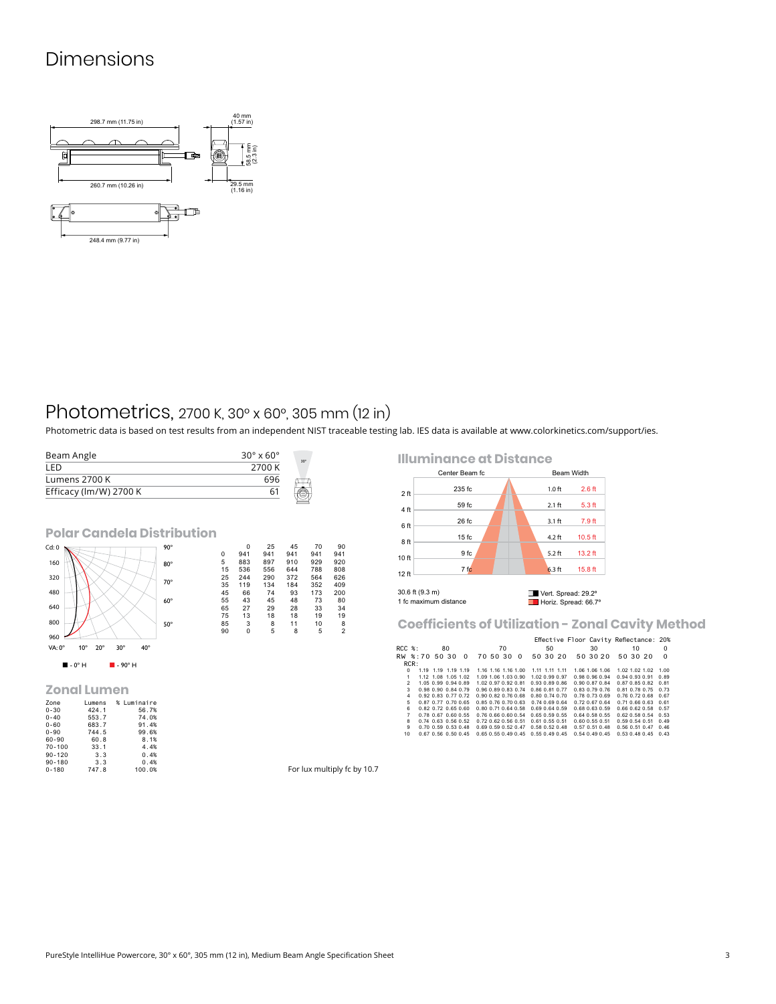### Dimensions



### Photometrics, 2700 K, 30° x 60°, 305 mm (12 in)

Photometric data is based on test results from an independent NIST traceable testing lab. IES data is available at [www.colorkinetics.com/support/ies.](http://www.colorkinetics.com/support/ies)

| Beam Angle                        |   |                 | $30^\circ \times 60^\circ$ |           | $30^\circ$ |           |
|-----------------------------------|---|-----------------|----------------------------|-----------|------------|-----------|
| LED                               |   |                 | 2700 K                     |           |            |           |
| Lumens 2700 K                     |   |                 | 696                        |           |            |           |
| Efficacy (lm/W) 2700 K            |   |                 | 61                         |           |            |           |
| <b>Polar Candela Distribution</b> |   |                 |                            |           |            |           |
| $90^\circ$<br>Cd:0                | 0 | $\Omega$<br>941 | 25<br>941                  | 45<br>941 | 70<br>941  | 90<br>941 |

|                                                                      |            | ັ  | .   | .   | .   | .   | .              |
|----------------------------------------------------------------------|------------|----|-----|-----|-----|-----|----------------|
| 160                                                                  | $80^\circ$ | 5  | 883 | 897 | 910 | 929 | 920            |
|                                                                      |            | 15 | 536 | 556 | 644 | 788 | 808            |
| 320                                                                  |            | 25 | 244 | 290 | 372 | 564 | 626            |
|                                                                      | 70°        | 35 | 119 | 134 | 184 | 352 | 409            |
| 480                                                                  |            | 45 | 66  | 74  | 93  | 173 | 200            |
|                                                                      | $60^\circ$ | 55 | 43  | 45  | 48  | 73  | 80             |
| 640                                                                  |            | 65 | 27  | 29  | 28  | 33  | 34             |
|                                                                      |            | 75 | 13  | 18  | 18  | 19  | 19             |
| 800                                                                  | $50^\circ$ | 85 | 3   | 8   | 11  | 10  | 8              |
|                                                                      |            | 90 | 0   | 5   | 8   | 5   | $\overline{c}$ |
| 960                                                                  |            |    |     |     |     |     |                |
| VA: 0°<br>$30^\circ$<br>$40^{\circ}$<br>$10^{\circ}$<br>$20^{\circ}$ |            |    |     |     |     |     |                |
|                                                                      |            |    |     |     |     |     |                |
|                                                                      |            |    |     |     |     |     |                |

#### **Zonal Lumen**

 $\blacksquare$  - 0° H  $\blacksquare$  - 90° H

| Zone       | Lumens | % Luminaire |
|------------|--------|-------------|
| $0 - 30$   | 424.1  | 56.7%       |
| $0 - 40$   | 553.7  | 74.0%       |
| $0 - 60$   | 683.7  | 91.4%       |
| $0 - 90$   | 744.5  | 99.6%       |
| 60-90      | 60.8   | 8.1%        |
| $70 - 100$ | 33.1   | 4.4%        |
| $90 - 120$ | 3.3    | 0.4%        |
| $90 - 180$ | 3.3    | 0.4%        |
| $0 - 180$  | 747.8  | 100.0%      |

**Illuminance at Distance**



**Coefficients of Utilization - Zonal Cavity Method**

|                 |                     |                     |    |                             |                     |    |                             |                                    |    | Effective Floor Cavity Reflectance: 20% |    |                      |          |    |                     |          |
|-----------------|---------------------|---------------------|----|-----------------------------|---------------------|----|-----------------------------|------------------------------------|----|-----------------------------------------|----|----------------------|----------|----|---------------------|----------|
| $RCC$ %:        |                     |                     | 80 |                             |                     | 70 |                             |                                    | 50 |                                         | 30 |                      |          | 10 |                     | $\Omega$ |
| RW %:70 50 30 0 |                     |                     |    |                             | 70 50 30            |    | $\Omega$                    | 50 30 20                           |    |                                         |    | 50 30 20             | 50 30 20 |    |                     | $\Omega$ |
| RCR:            |                     |                     |    |                             |                     |    |                             |                                    |    |                                         |    |                      |          |    |                     |          |
| $\Omega$        |                     | 1.19 1.19 1.19 1.19 |    |                             |                     |    |                             | 1.16 1.16 1.16 1.00 1.11 1.11 1.11 |    |                                         |    | 1.06 1.06 1.06       |          |    | 1.02 1.02 1.02 1.00 |          |
| 1               |                     |                     |    | 1.12 1.08 1.05 1.02         | 1.09 1.06 1.03 0.90 |    |                             | 1.02 0.99 0.97                     |    |                                         |    | 0.98 0.96 0.94       |          |    | 0.94 0.93 0.91 0.89 |          |
| $\mathfrak{p}$  |                     |                     |    | 1.05 0.99 0.94 0.89         |                     |    | 1.02 0.97 0.92 0.81         | 0.93 0.89 0.86                     |    |                                         |    | 0.90 0.87 0.84       |          |    | 0.87 0.85 0.82 0.81 |          |
| $\mathbf{3}$    | 0.98 0.90 0.84 0.79 |                     |    |                             |                     |    | 0.96 0.89 0.83 0.74         | 0.86 0.81 0.77                     |    |                                         |    | $0.83$ $0.79$ $0.76$ |          |    | 0.81 0.78 0.75 0.73 |          |
| 4               |                     |                     |    | 0.92 0.83 0.77 0.72         |                     |    | $0.90$ $0.82$ $0.76$ $0.68$ | $0.80$ $0.74$ $0.70$               |    |                                         |    | 0.78 0.73 0.69       |          |    | 0.76 0.72 0.68 0.67 |          |
| 5               |                     |                     |    | 0.87 0.77 0.70 0.65         | 0.85 0.76 0.70 0.63 |    |                             | 0.74 0.69 0.64                     |    |                                         |    | 0.72067064           |          |    | 0.71 0.66 0.63 0.61 |          |
| 6               |                     |                     |    | $0.82$ $0.72$ $0.65$ $0.60$ |                     |    | 0.80 0.71 0.64 0.58         | $0.69$ $0.64$ $0.59$               |    |                                         |    | 0.68 0.63 0.59       |          |    | 0.66 0.62 0.58 0.57 |          |
| $\overline{7}$  |                     |                     |    | $0.78$ $0.67$ $0.60$ $0.55$ |                     |    | 0.76 0.66 0.60 0.54         | $0.65$ $0.59$ $0.55$               |    |                                         |    | $0.64$ $0.58$ $0.55$ |          |    | 0.62 0.58 0.54 0.53 |          |
| 8               |                     |                     |    | $0.74$ $0.63$ $0.56$ $0.52$ |                     |    | 0.72 0.62 0.56 0.51         | 0.61 0.55 0.51                     |    |                                         |    | 0.60 0.55 0.51       |          |    | 0.59 0.54 0.51 0.49 |          |
| 9               |                     |                     |    | $0.70$ $0.59$ $0.53$ $0.48$ |                     |    | 0.69 0.59 0.52 0.47         | $0.58$ $0.52$ $0.48$               |    |                                         |    | $0.57$ $0.51$ $0.48$ |          |    | 0.56 0.51 0.47 0.46 |          |
| 10              |                     |                     |    | $0.67$ $0.56$ $0.50$ $0.45$ |                     |    | 0.65 0.55 0.49 0.45         | $0.55$ $0.49$ $0.45$               |    |                                         |    | $0.54$ $0.49$ $0.45$ |          |    | 0.53 0.48 0.45 0.43 |          |
|                 |                     |                     |    |                             |                     |    |                             |                                    |    |                                         |    |                      |          |    |                     |          |

For lux multiply fc by 10.7